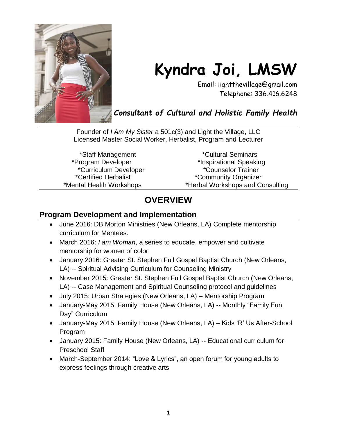

# **Kyndra Joi, LMSW**

Email: lightthevillage@gmail.com Telephone: 336.416.6248

*Consultant of Cultural and Holistic Family Health*

Founder of *I Am My Sister* a 501c(3) and Light the Village, LLC Licensed Master Social Worker, Herbalist, Program and Lecturer

\*Staff Management \*Cultural Seminars \*Program Developer \*Inspirational Speaking \*Curriculum Developer \*Counselor Trainer \*Certified Herbalist \*Community Organizer \*Mental Health Workshops \*Herbal Workshops and Consulting

## **OVERVIEW**

#### **Program Development and Implementation**

- June 2016: DB Morton Ministries (New Orleans, LA) Complete mentorship curriculum for Mentees.
- March 2016: *I am Woman*, a series to educate, empower and cultivate mentorship for women of color
- January 2016: Greater St. Stephen Full Gospel Baptist Church (New Orleans, LA) -- Spiritual Advising Curriculum for Counseling Ministry
- November 2015: Greater St. Stephen Full Gospel Baptist Church (New Orleans, LA) -- Case Management and Spiritual Counseling protocol and guidelines
- July 2015: Urban Strategies (New Orleans, LA) Mentorship Program
- January-May 2015: Family House (New Orleans, LA) -- Monthly "Family Fun Day" Curriculum
- January-May 2015: Family House (New Orleans, LA) Kids 'R' Us After-School Program
- January 2015: Family House (New Orleans, LA) -- Educational curriculum for Preschool Staff
- March-September 2014: "Love & Lyrics", an open forum for young adults to express feelings through creative arts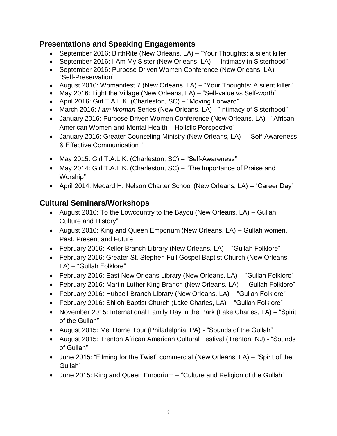#### **Presentations and Speaking Engagements**

- September 2016: BirthRite (New Orleans, LA) "Your Thoughts: a silent killer"
- September 2016: I Am My Sister (New Orleans, LA) "Intimacy in Sisterhood"
- September 2016: Purpose Driven Women Conference (New Orleans, LA) -"Self-Preservation"
- August 2016: Womanifest 7 (New Orleans, LA) "Your Thoughts: A silent killer"
- May 2016: Light the Village (New Orleans, LA) "Self-value vs Self-worth"
- April 2016: Girl T.A.L.K. (Charleston, SC) "Moving Forward"
- March 2016: *I am Woman* Series (New Orleans, LA) "Intimacy of Sisterhood"
- January 2016: Purpose Driven Women Conference (New Orleans, LA) "African American Women and Mental Health – Holistic Perspective"
- January 2016: Greater Counseling Ministry (New Orleans, LA) "Self-Awareness & Effective Communication "
- May 2015: Girl T.A.L.K. (Charleston, SC) "Self-Awareness"
- May 2014: Girl T.A.L.K. (Charleston, SC) "The Importance of Praise and Worship"
- April 2014: Medard H. Nelson Charter School (New Orleans, LA) "Career Day"

#### **Cultural Seminars/Workshops**

- August 2016: To the Lowcountry to the Bayou (New Orleans,  $LA$ ) Gullah Culture and History"
- August 2016: King and Queen Emporium (New Orleans, LA) Gullah women, Past, Present and Future
- February 2016: Keller Branch Library (New Orleans, LA) "Gullah Folklore"
- February 2016: Greater St. Stephen Full Gospel Baptist Church (New Orleans, LA) – "Gullah Folklore"
- February 2016: East New Orleans Library (New Orleans, LA) "Gullah Folklore"
- February 2016: Martin Luther King Branch (New Orleans, LA) "Gullah Folklore"
- February 2016: Hubbell Branch Library (New Orleans, LA) "Gullah Folklore"
- February 2016: Shiloh Baptist Church (Lake Charles, LA) "Gullah Folklore"
- November 2015: International Family Day in the Park (Lake Charles, LA) "Spirit of the Gullah"
- August 2015: Mel Dorne Tour (Philadelphia, PA) "Sounds of the Gullah"
- August 2015: Trenton African American Cultural Festival (Trenton, NJ) "Sounds of Gullah"
- June 2015: "Filming for the Twist" commercial (New Orleans, LA) "Spirit of the Gullah"
- June 2015: King and Queen Emporium "Culture and Religion of the Gullah"